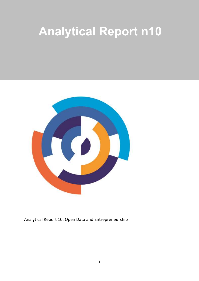# **Analytical Report n10**



Analytical Report 10: Open Data and Entrepreneurship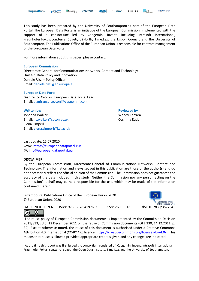This study has been prepared by the University of Southampton as part of the European Data Portal. The European Data Portal is an initiative of the European Commission, implemented with the support of a consortiumi led by Capgemini Invent, including Intrasoft International, Fraunhofer Fokus, con.terra, Sogeti, 52North, Time.Lex, the Lisbon Council, and the University of Southampton. The Publications Office of the European Union is responsible for contract management of the European Data Portal.

For more information about this paper, please contact:

#### **European Commission**

Directorate General for Communications Networks, Content and Technology Unit G.1 Data Policy and Innovation Daniele Rizzi - Policy Officer Email: [daniele.rizzi@ec.europa.eu](mailto:daniele.rizzi@ec.europa.eu) 

#### **European Data Portal**

Gianfranco Cecconi, European Data Portal Lead Email: [gianfranco.cecconi@capgemini.com](mailto:gianfranco.cecconi@capgemini.com) 

**Written by: Reviewed by Reviewed by** Johanna Walker Wendy Carrara Wendy Carrara Email: [j.c.walker@soton.ac.uk](mailto:j.c.walker@soton.ac.uk) Cosmina Radu Elena Simperl Email: [elena.simperl@kcl.ac.uk](mailto:elena.simperl@kcl.ac.uk)

Last update: 15.07.2020 www:<https://europeandataportal.eu/> @: [info@europeandataportal.eu](mailto:info@europeandataportal.eu) 

#### **DISCLAIMER**

 $\bf{r}$ 

 $\left(\mathrm{cc}\right)$ 

By the European Commission, Directorate-General of Communications Networks, Content and Technology. The information and views set out in this publication are those of the author(s) and do not necessarily reflect the official opinion of the Commission. The Commission does not guarantee the accuracy of the data included in this study. Neither the Commission nor any person acting on the Commission's behalf may be held responsible for the use, which may be made of the information contained therein.

Luxembourg: Publications Office of the European Union, 2020 © European Union, 2020



OA-BF-20-010-EN-N ISBN: 978-92-78-41976-9 ISSN: 2600-0601 doi: 10.2830/357754

The reuse policy of European Commission documents is implemented by the Commission Decision 2011/833/EU of 12 December 2011 on the reuse of Commission documents (OJ L 330, 14.12.2011, p. 39). Except otherwise noted, the reuse of this document is authorised under a Creative Commons Attribution 4.0 International (CC-BY 4.0) licence [\(https://creativecommons.org/licenses/by/4.0/\)](https://creativecommons.org/licenses/by/4.0/). This means that reuse is allowed provided appropriate credit is given and any changes are indicated.

<sup>i</sup> At the time this report was first issued the consortium consisted of: Capgemini Invent, Intrasoft International, Fraunhofer Fokus, con.terra, Sogeti, the Open Data Institute, Time.Lex, and the University of Southampton.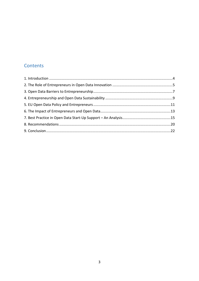## Contents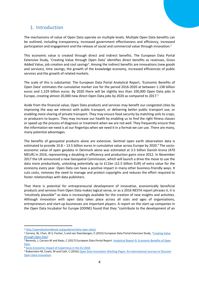## <span id="page-3-0"></span>1. Introduction

The mechanisms of value of Open Data operate on multiple levels. Multiple Open Data benefits can be outlined, including transparency, increased government effectiveness and efficiency, increased participation and engagement and the release of social and commercial value through innovation.<sup>1</sup>

This economic value is created through direct and indirect benefits. The European Data Portal Extensive Study, 'Creating Value through Open Data' identifies direct benefits as revenues, Gross Added Value, job creation and cost savings<sup>2</sup>. Among the indirect benefits are innovations (new goods and services), time savings, the growth of the knowledge economy, increased efficiencies of public services and the growth of related markets.

The scale of this is substantial. The European Data Portal Analytical Report, 'Economic Benefits of Open Data͛ estimates the cumulative market size for the period 2016-2020 at between 1.138 billion euros and 1.229 billion euros. By 2020 there will be slightly less than 100,000 Open Data jobs in Europe, creating almost 20,000 new direct Open Data jobs by 2020 as compared to  $2017<sup>3</sup>$ 

Aside from the financial value, Open Data products and services may benefit our congested cities by improving the way we interact with public transport, or delivering better public transport use, or enabling more sharing of private transport. They may ensure food security by matching soils to crops, or producers to buyers. They may increase our health by enabling us to find the right fitness classes or speed up the process of diagnosis or treatment when we are not well. They frequently ensure that the information we need is at our fingertips when we need it in a format we can use. There are many, many potential advantages.

The benefits of geospatial products alone are extensive. Sentinel open earth observation data is estimated to provide  $10.8 - 13.5$  billion euros in cumulative value across Europe by 2020.<sup>4</sup> The socioeconomic value of open geodata in Denmark alone was estimated at 3.5 billion Danish krona (470 MEUR) in 2016, representing a doubling in efficiency and production gains since 2012. In November 2017 the UK announced a new Geospatial Commission, which will launch a drive the move to use the data more productively, unlocking potentially up to £11bn (12.5 billion EUR) of extra value for the economy every year. Open Data can have a positive impact in many other business-friendly ways. It cuts costs, removes the need to manage and protect copyrights and reduces the effort required to foster relationships with data publishers.

That there is potential for entrepreneurial development of innovative, economically beneficial products and services from Open Data makes logical sense, or as a 2016 NESTA report phrases it, it is 'intuitively plausible<sup>'5</sup> as data is increasingly available for the creation of new insights and activities. Although innovation with open data takes place across all sizes and ages of organisations, entrepreneurs and start-up businesses are important players. A report on the start-up companies in the Open Data Incubator for Europe (ODINE) found that they "contribute to the development of an

 <sup>1</sup> <http://opendatahandbook.org/guide/en/why-open-data/>

<sup>&</sup>lt;sup>2</sup> Carrara, W, Chan, W S, Fischer, S and van Steenbergen, E (2015) European Data Portal Extensive Study, 'Creating Value [through Open Data](https://www.europeandataportal.eu/sites/default/files/edp_creating_value_through_open_data_0.pdf)'.

<sup>3</sup> Berends, J, Carrara W and Radu, C (2017) European Data Portal Report. [Analytical Report 9: Economic Benefits of Open](https://www.europeandataportal.eu/sites/default/files/analytical_report_n9_economic_benefits_of_open_data.pdf)  [Data.](https://www.europeandataportal.eu/sites/default/files/analytical_report_n9_economic_benefits_of_open_data.pdf)

<sup>4</sup> [Socio-Economic Impact of Copernicus in the EU 2016](http://www.spacetecpartners.eu/copernicus-factsheets/Socio-economic%20benefits/10%20FACTSHEETS_Socio-economic_V3.pdf)

<sup>5</sup> Rubenstein M, Cowls, M and Cath, C (2016) Open Data Innovation Working Paper: An International Journey to Discover [Open Data Innovation.](http://www.nesta.org.uk/sites/default/files/opendata.innovation_working_paper_0.pdf)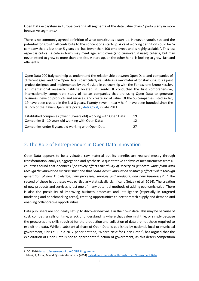Open Data ecosystem in Europe covering all segments of the data value chain," particularly in more innovative segments.<sup>6</sup>

There is no commonly agreed definition of what constitutes a start-up. However, youth, size and the potential for growth all contribute to the concept of a start-up. A valid working definition could be "a company that is less than 5 years old, has fewer than 100 employees and is highly scalable". This last aspect is critical; a café in town may meet age, employee (and turnover, if used) criteria, but may never intend to grow to more than one site. A start-up, on the other hand, is looking to grow, fast and efficiently.

Open Data 200 Italy can help us understand the relationship between Open Data and companies of different ages, and how Open Data is particularly valuable as a raw material for start-ups. It is a joint project designed and implemented by the [GovLab](http://thegovlab.org/) in partnership with the [Fondazione Bruno Kessler,](http://www.fbk.eu/) an international research institute located in Trento. It conducted the first comprehensive, internationally comparable study of Italian companies that are using Open Data to generate business, develop products and services, and create social value. Of the 55 companies listed so far, 19 have been created in the last 3 years. Twenty-seven - nearly half - have been founded since the launch of the Italian Open Data portal, *dati.gov.it*, in late 2011.

| Established companies (Over 10 years old) working with Open Data: | 19 |
|-------------------------------------------------------------------|----|
| Companies 5 - 10 years old working with Open Data:                | 12 |
| Companies under 5 years old working with Open Data:               | 27 |

## <span id="page-4-0"></span>2. The Role of Entrepreneurs in Open Data Innovation

Open Data appears to be a valuable raw material but its benefits are realised mostly through transformation, analysis, aggregation and synthesis. A quantitative analysis of measurements from 61 countries found that openness "positively affects the ability of society to generate value from data *through the innovation mechanisms*" and that "*data-driven innovation positively affects value through generation of new knowledge͕ new processes͕ services and products͕ and new businesses͘͟ <sup>7</sup>* The second of these hypotheses was particularly statistically significant (Jetzek et al, 2014). The creation of new products and services is just one of many potential methods of adding economic value. There is also the possibility of improving business processes and intelligence (especially in targeted marketing and benchmarking areas), creating opportunities to better match supply and demand and enabling collaborative opportunities.

Data publishers are not ideally set up to discover new value in their own data. This may be because of cost, competing calls on time, a lack of understanding where that value might lie, or simply because the processes and skills required for the production and collection of data are not those required to exploit the data. While a substantial share of Open Data is published by national, local or municipal government, Chris Yiu, in a 2012 paper entitled, 'Where Next for Open Data?', has argued that the exploitation of Open Data is not an appropriate function of government, as this deters competition

 <sup>6</sup> IDC (2016[\) Impact Assessment of the ODINE Programme](file:///C:/Users/coradu/AppData/Local/Microsoft/Windows/Temporary%20Internet%20Files/Content.Outlook/5KINADGG/IDC%20(2016)%20Impact%20Assessment%20of%20the%20ODINE%20Programme.%20Available%20at:%20%20https:/opendataincubator.eu/files/2017/08/ODINE_Final-report_3.0.pdf)

<sup>7</sup> Jetzek, T, Avital, M and Bjorn-Andersson, N (2014[\) Data-driven Innovation Through Open Government Data.](https://www.researchgate.net/publication/260929913_Data-Driven_Innovation_through_Open_Government_Data)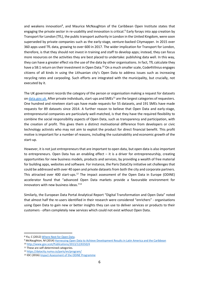and weakens innovation<sup>8</sup>, and Maurice McNaughton of the Caribbean Open Institute states that engaging the private sector in re-usability and innovation is critical.<sup>9</sup> Early forays into app creation by Transport for London (TfL), the public transport authority in London in the United Kingdom, were soon superseded by private companies such as the early-stage, venture-backed Citymapper. In 2015 over 360 apps used TfL data, growing to over 600 in 2017. The wider implication for Transport for London, therefore, is that they should not invest in training and staff to develop apps; instead, they can focus more resources on the activities they are best placed to undertake: publishing data well. In this way, they can have a greater effect via the use of the data by other organisations. In fact, TfL calculate they have a 58:1 return on their investment in Open Data.<sup>10</sup> On a much smaller scale, Code4Vilnius engages citizens of all kinds in using the Lithuanian city's Open Data to address issues such as increasing recycling rates and carpooling. Such efforts are integrated with the municipality, but crucially, not executed by it.

The UK government records the category of the person or organisation making a request for datasets o[n data.gov.uk.](http://data.gov.uk/) After private individuals, start-ups and SMEs<sup>11</sup> are the largest categories of requesters. One hundred and nineteen start-ups have made requests for 55 datasets, and 191 SMEs have made requests for 89 datasets since 2014. A further reason to believe that Open Data and early-stage, entrepreneurial companies are particularly well-matched, is that they have the required flexibility to combine the social responsibility aspects of Open Data, such as transparency and participation, with the creation of profit. This gives them a distinct motivational difference from developers or civic technology activists who may not aim to exploit the product for direct financial benefit. This profit motive is important for a number of reasons, including the sustainability and economic growth of the start-up.

However, it is not just entrepreneurs that are important to open data, but open data is also important to entrepreneurs. Open Data has an enabling effect  $-$  it is a driver for entrepreneurship, creating opportunities for new business models, products and services, by providing a wealth of free material for building apps, websites and software. For instance, the Paris DataCity initiative set challenges that could be addressed with over 40 open and private datasets from both the city and corporate partners. This attracted over 400 start-ups.<sup>12</sup> The impact assessment of the Open Data in Europe (ODINE) accelerator found that "advanced Open Data markets provide a favourable environment for innovators with new business ideas. $^{\prime\prime}^{13}$ 

Similarly, the European Data Portal Analytical Report "Digital Transformation and Open Data" noted that almost half the re-users identified in their research were considered "enrichers" - organisations using Open Data to gain new or better insights they can use to deliver services or products to their customers - often completely new services which could not exist without Open Data.

<sup>8</sup> Yiu, C (2012[\) Where Next for Open Data.](file:///C:/Users/coradu/AppData/Local/Microsoft/Windows/Temporary%20Internet%20Files/Content.Outlook/5KINADGG/Yiu,%20C%20(2012)%20Where%20Next%20for%20Open%20Data.%20Available%20at:%20https:/policyexchange.org.uk/where-next-for-open-data/)<br>9 McNaughton, M (2014[\) Harnessing Open Data to Achieve Development Results in Latin America and the Caribbean](http://od4d.net/wp-content/uploads/2017/06/COI-Final-Technical-Report-IDRC-107574-004-Jan-2017.pdf) <sup>10</sup> <http://www.gov.scot/Publications/2013/12/6550/4>

<sup>11</sup> These are self-determined categories.

<sup>12</sup> <https://datacity.numa.co/paris/en/program/>

<sup>13</sup> IDC (2016[\) Impact Assessment of the ODINE Programme](file:///C:/Users/coradu/AppData/Local/Microsoft/Windows/Temporary%20Internet%20Files/Content.Outlook/5KINADGG/IDC%20(2016)%20Impact%20Assessment%20of%20the%20ODINE%20Programme.%20Available%20at:%20%20https:/opendataincubator.eu/files/2017/08/ODINE_Final-report_3.0.pdf)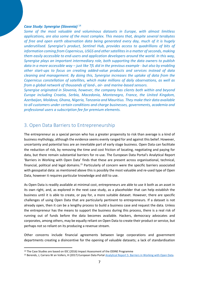#### *Case Study: Synergise (Slovenia)* <sup>14</sup>

*Some of the most valuable and voluminous datasets in Europe, with almost limitless applications, are also some of the most complex. This means that, despite several terabytes of free and open earth observation data being generated every day, much of it is hugely*  underutilised. Synergise's product, Sentinel Hub, provides access to quadrillions of bits of *information coming from Copernicus, USGS and other satellites in a matter of seconds, making them easily accessible to end-users and application developers around the world. In this way, Synergise plays an important intermediary role, both supporting the data owners to publish data in a more accessible way – just like TfL did in the previous example - but also by enabling other start-ups to focus on creating added-value products and services instead of data cleaning and management. By doing this, Synergise increases the uptake of data from the Copernicus constellation of satellites, which make millions of daily observations, as well as from a global network of thousands of land-, air- and marine-based sensors.*

*Synergise originated in Slovenia, however, the company has clients both within and beyond Europe including Croatia, Serbia, Macedonia, Montenegro, France, the United Kingdom, Azerbaijan, Moldova, Ghana, Nigeria, Tanzania and Mauritius. They make their data available to all customers under certain conditions and charge businesses, governments, academia and professional users a subscription fee for premium elements.*

## <span id="page-6-0"></span>3. Open Data Barriers to Entrepreneurship

The entrepreneur as a special person who has a greater propensity to risk than average is a kind of business mythology, although the evidence seems evenly ranged for and against this belief. However, uncertainty and potential loss are an inevitable part of early stage business. Open Data can facilitate the reduction of risk, by removing the time and cost friction of locating, negotiating and paying for data, but there remain substantial barriers for re-use. The European Data Portal's Analytical Report 'Barriers in Working with Open Data' finds that these are present across organisational, technical, financial, political and legal domains.15 Particularly of concern were the specific barriers associated with geospatial data: as mentioned above this is possibly the most valuable and re-used type of Open Data, however it requires particular knowledge and skill to use.

As Open Data is readily available at minimal cost, entrepreneurs are able to use it both as an asset in its own right, and, as explored in the next case study, as a placeholder that can help establish the business until it is able to create, or pay for, a more suitable dataset. However, there are specific challenges of using Open Data that are particularly pertinent to entrepreneurs. If a dataset is not already open, then it can be a lengthy process to build a business case and request the data. Unless the entrepreneur has the means to support the business during this process, there is a real risk of running out of funds before the data becomes available. Hackers, democracy advocates and corporates, among others, may be equally reliant on Open Data to create their product or service, but perhaps not so reliant on its producing a revenue stream.

Other concerns include financial agreements between large corporations and government departments creating a disincentive for the opening of valuable datasets; a lack of standardisation

 <sup>14</sup> The Case Studies are based on IDC (2016) Impact Assessment of the ODINE Programme

<sup>15</sup> Berends, J, Carrara W an Vollers, H (2017) European Data Portal [Analytical Report 5: Barriers in Working with Open Data.](https://www.europeandataportal.eu/sites/default/files/edp_analytical_report_n5_-_barriers_in_open_data.pdf)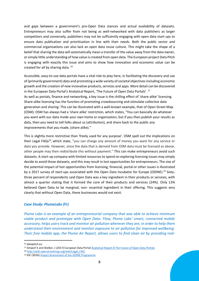and gaps between a government's pro-Open Data stances and actual availability of datasets. Entrepreneurs may also suffer from not being as well-networked with data publishers as larger competitors and conversely, publishers may not be sufficiently engaging with open data start-ups to ensure data publication and prioritisation in line with their needs. Both the public sector and commercial organisations can also lack an open data reuse culture. This might take the shape of a belief that sharing the data will automatically mean a transfer of the value away from the data owner, or simply little understanding of how value is created from open data. The European project Data Pitch is engaging with exactly this issue and aims to show how innovation and economic value can be created for all by sharing data. 16

Accessible, easy-to-use data portals have a vital role to play here, in facilitating the discovery and use of (primarily government) data and promoting a wide variety of societal objectives including economic growth and the creation of new innovative products, services and apps. More detail can be discovered in the European Data Portal's Analytical Report, 'The Future of Open Data Portals'. <sup>17</sup> As well as portals, finance and networking, a key issue is the chilling effect of 'share-alike' licensing. Share-alike licensing has the function of promoting crowdsourcing and stimulate collective data generation and sharing. This can be illustrated with a well-known example, that of Open Street Map (OSM). OSM has always had a 'share alike' restriction, which states, "You can basically do whatever you want with our data inside your own home or organisation, but if you then publish your results as data, then you need to tell folks about us (attribution), and share back to the public any improvements that you made, (share alike)."

This is slightly more restrictive than 'freely used for any purpose'. OSM spell out the implications on their Legal FAQs<sup>18</sup>, which state, "you can charge any amount of money you want for any service or data you provide. However, since the data that is derived from OSM data must be licensed as above, other people may then redistribute this without payment." This can make entrepreneurs avoid such datasets. A start-up company with limited resources to spend on exploring licensing issues may simply decide to avoid those datasets, and this may result in lost opportunities for entrepreneurs. The size of the potential impact of lost opportunities from licensing, financial, portal or other issues is illustrated by a 2017 survey of start-ups associated with the Open Data Incubator for Europe (ODINE).<sup>19</sup> Sixtythree percent of respondents said Open Data was a key ingredient in their products or services, with almost a quarter stating that it formed the core of their products and services (24%). Only 13% believed Open Data to be marginal, non- essential ingredient in their offering. This suggests very clearly that without Open Data, these businesses would not exist.

#### *Case Study: PlumeLabs (Fr)*

*Plume Labs is an example of an entrepreneurial company that was able to achieve minimum viable product and prototype with Open Data. Flow͕ Plume Labs͛ smart͕ connected mobile accessory, helps users track and monitor air pollution wherever they are, in order to help them understand their environment and monitor exposure to air pollution for improved wellbeing. Their free mobile app, the Plume Air Report, allows users to find clean air by providing real-*

 <sup>16</sup> datapitch.eu

<sup>17</sup> Simperl E and Walker, J (2017) European Data Porta[l Analytical Report 8 The Future of Open Data Portals](:%20%20https:/www.europeandataportal.eu/sites/default/files/edp_analyticalreport_n8.pdf)

<sup>18</sup> [http://wiki.openstreetmap.org/wiki/Legal\\_FAQ](http://wiki.openstreetmap.org/wiki/Legal_FAQ)

<sup>19</sup> IDC (2016) [Impact Assessment of the ODINE Programme](https://opendataincubator.eu/files/2017/08/ODINE_Final-report_3.0.pdf)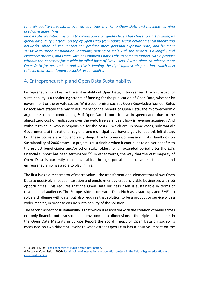*time air quality forecasts in over 60 countries thanks to Open Data and machine learning predictive algorithms.*

*Plume Labs͛ long-term vision is to crowdsource air quality levels but chose to start building its global air quality platform on top of Open Data from public sector environmental monitoring networks. Although the sensors can produce more personal exposure data, and be more sensitive to urban air pollution variations, getting to scale with the sensors is a lengthy and expensive process, and Open Data has enabled Plume Labs to come to market with a product without the necessity for a wide installed base of Flow users. Plume plans to release more Open Data for researchers and activists leading the fight against air pollution, which also reflects their commitment to social responsibility.* 

## <span id="page-8-0"></span>4. Entrepreneurship and Open Data Sustainability

Entrepreneurship is key for the sustainability of Open Data, in two senses. The first aspect of sustainability is a continuing stream of funding for the publication of Open Data, whether by government or the private sector. While economists such as Open Knowledge founder Rufus Pollock have stated the macro argument for the benefit of Open Data, the micro-economic arguments remain confounding.<sup>20</sup> If Open Data is both free as in speech and, due to the almost zero cost of replication over the web, free as in beer, how is revenue acquired? And without revenue, who is responsible for the costs  $-$  which are, in some cases, substantial? Governments at the national, regional and municipal level have largely funded this initial step, but these pockets are not endlessly deep. The European Commission in its Handbook on Sustainability of 2006 states, "a project is sustainable when it continues to deliver benefits to the project beneficiaries and/or other stakeholders for an extended period after the EU's financial support has been terminated."<sup>21</sup> In other words, the way that the vast majority of Open Data is currently made available, through portals, is not yet sustainable, and entrepreneurship has a role to play in this.

The first is as a direct creator of macro value – the transformational element that allows Open Data to positively impact on taxation and employment by creating viable businesses with job opportunities. This requires that the Open Data business itself is sustainable in terms of revenue and audience. The Europe-wide accelerator Data Pitch asks start-ups and SMEs to solve a challenge with data, but also requires that solution to be a product or service with a wider market, in order to ensure sustainability of the solution.

The second aspect of sustainability isthat which is associated with the creation of value across not only financial but also social and environmental dimensions - the triple bottom line. In the Open Data Maturity in Europe Report the social impact of Open Data on society is measured on two different levels: to what extent Open Data has a positive impact on the

<sup>&</sup>lt;sup>20</sup> Pollock, R (2008) The Economics of Public Sector Information.<br><sup>21</sup> European Commission (2006) Sustainability of international cooperation projects in the field of higher education and [vocational training.](http://eacea.ec.europa.eu/tempus/doc/sustainhandbook.pdf)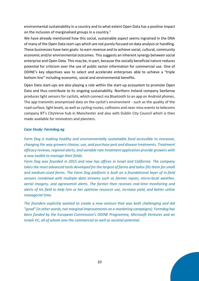environmental sustainability in a country and to what extent Open Data has a positive impact on the inclusion of marginalised groups in a country.<sup>1</sup>

We have already mentioned how this social, sustainable aspect seems ingrained in the DNA of many of the Open Data start-ups which are not purely focused on data analysis or handling. These businesses have twin goals: to earn revenue and to achieve social, cultural, community economic and/or environmental outcomes. This suggests an inherent synergy between social enterprise and Open Data. This may be, in part, because the socially beneficial nature reduces potential for criticism over the use of public sector information for commercial use. One of ODINE's key objectives was to select and accelerate enterprises able to achieve a "triple bottom line" including economic, social and environmental benefits.

Open Data start-ups are also playing a role within the start-up ecosystem to promote Open Data and thus contribute to its ongoing sustainability. Northern Ireland company SeeSense produces light sensors for cyclists, which connect via Bluetooth to an app on Android phones. The app transmits anonymised data on the cyclist's environment - such as the quality of the road surface, light levels, as well as cycling routes, collisions and near-miss events to telecoms company BT's CityVerve hub in Manchester and also with Dublin City Council which is then made available for innovators and planners.

## *Case Study: Farmdog.ag*

*Farm Dog is making healthy and environmentally sustainable food accessible to everyone, changing the way growers choose, use, and purchase pest and disease treatments. Treatment efficacy reviews, regional alerts, and variable rate treatment application provide growers with a new toolkit to manage their fields.*

*Farm Dog was founded in 2015 and now has offices in Israel and California. The company takes the most advanced tools developed for the largest of farms and tailor-fits them for small and medium-sized farms. The Farm Dog platform is built on a foundational layer of in-field sensors combined with multiple data streams such as farmer inputs, micro-local weather, aerial imagery, and agronomist alerts. The farmer then receives real-time monitoring and alerts of his field to help him or her optimise resource use, increase yield, and better utilise managerial time.*

*The founders explicitly wanted to create a new venture that was both challenging and did ͞good͟ ;in other words͕ not marginal improvements on e-marketing campaigns). Farmdog has been funded by the European Commission͛s ODINE Programme, Microsoft Ventures and an Israeli VC, all of whom saw the commercial as well as societal potential.*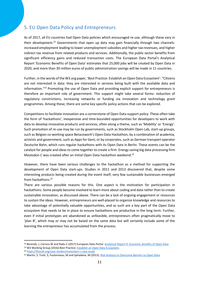## <span id="page-10-0"></span>5. EU Open Data Policy and Entrepreneurs

As of 2017, all EU countries had Open Data policies which encouraged re-use, although these vary in their development.<sup>22</sup> Governments that open up data may gain financially through two channels: increased employment leading to lower unemployment subsidies and higher tax revenues, and higher indirect tax revenue from related products and services. Additionally, the public sector benefits from significant efficiency gains and reduced transaction costs. The European Data Portal's Analytical Report 'Economic Benefits of Open Data' estimates that 25,000 jobs will be created by Open Data in 2020, and more than 30 million euros of public administration savings will be made in 11 countries.

Further, in the words of the W3.org paper, 'Best Practice: Establish an Open Data Ecosystem': "Citizens are not interested in data: they are interested in services being built with the available data and information.<sup>723</sup> Promoting the use of Open Data and providing explicit support for entrepreneurs is therefore an important role of government. This support might take several forms: reduction of regulatory constrictions, increasing networks or funding via innovation and technology grant programmes. Among these, there are some key specific policy actions that can be explored.

Competitions to facilitate innovation are a cornerstone of Open Data support policy. These often take the form of 'hackathons', inexpensive and time-bounded opportunities for developers to work with data to develop innovative products and services, often along a theme, such as 'Mobility' or 'Energy'. Such promotion of re-use may be run by governments, such as Stockholm Open Lab, start-up groups, such as Belgian co-working space Betacowork's Open Data Hackathon, by a combination of academia, activists and government, such as Apps for Gent, or by corporates, such as German transport operator Deutsche Bahn, which runs regular hackathons with its Open Data in Berlin. These events can be the catalyst for people and ideas to come together to create a firm. Energy saving big data processing firm Mastodon C was created after an initial Open Data hackathon weekend.<sup>24</sup>

However, there have been serious challenges to the hackathon as a method for supporting the development of Open Data start-ups. Studies in 2011 and 2013 discovered that, despite some interesting products being created during the event itself, very few sustainable businesses emerged from hackathons.25

There are various possible reasons for this. One aspect is the motivation for participation in hackathons. Some people become involved to learn more about coding and data rather than to create sustainable innovation, as discussed above. There can be a lack of ongoing engagement or resources to sustain the ideas. However, entrepreneurs are well-placed to organize knowledge and resources to take advantage of potentially valuable opportunities, and as such are a key part of the Open Data ecosystem that needs to be in place to ensure hackathons are productive in the long term. Further, even if initial prototypes are abandoned as unfeasible, entrepreneurs often pragmatically move to 'plan B', which may or may not be based on the same data but will certainly include some of the learning the entrepreneur has accumulated from the process.

<sup>&</sup>lt;sup>22</sup> Berends, J, Carrara W and Radu C (2017) European Data Portal[. Analytical Report 9: Economic benefits of Open Data](https://www.europeandataportal.eu/sites/default/files/analytical_report_n9_economic_benefits_of_open_data.pdf)

<sup>&</sup>lt;sup>23</sup> W3 Working Group (2016) Best Practice: **Establish an Open Data Ecosystem.**<br><sup>24</sup> <https://theodi.org/case-studies/mastodon-c-case-study>

<sup>&</sup>lt;sup>25</sup> Martin, S, Turki, S, Foulonneau, M and Ijahadene, M (2013), Risk Analysis to Overcome Barriers to Open Data.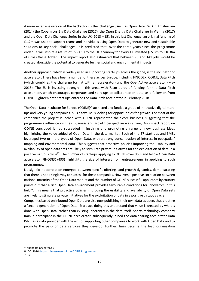A more extensive version of the hackathon is the 'challenge', such as Open Data FWD in Amsterdam (2014) the Copernicus Big Data Challenge (2017), the Open Energy Data Challenge in Vienna (2017) and the Open Data Challenge Series in the UK (2013 - 15). In this last Challenge, an original funding of £1.2m was used to support teams and individuals using Open Data to generate new and sustainable solutions to key social challenges. It is predicted that, over the three years since the programme ended, it will inspire a return of £5 - £10 to the UK economy for every £1 invested (£5.3m to £10.8m of Gross Value Added). The impact report also estimated that between 75 and 141 jobs would be created alongside the potential to generate further social and environmental impacts.

Another approach, which is widely used in supporting start-ups across the globe, is the incubator or accelerator. There have been a number of these across Europe, including FINODEX, ODINE, Data Pitch (which combines the challenge format with an accelerator) and the OpenActive accelerator (May 2018). The EU is investing strongly in this area, with 7.1m euros of funding for the Data Pitch accelerator, which encourages corporates and start-ups to collaborate on data, as a follow on from ODINE. Eighteen data start-ups entered the Data Pitch accelerator in February 2018.

The Open Data Incubator for Europe (ODINE)<sup>26</sup> attracted and funded a group of innovative digital startups and very young companies, plus a few SMEs looking for opportunities for growth. For most of the companies the project launched with ODINE represented their core business, suggesting that the programme's influence on their business and growth perspective was strong. An impact report on ODINE concluded it had succeeded in inspiring and promoting a range of new business ideas highlighting the value added of Open Data in the data market. Each of the 57 start-ups and SMEs leveraged two or more types of Open Data, with a strong concentration of interest in geospatial/ mapping and environmental data. This suggests that proactive policies improving the usability and availability of open data sets are likely to stimulate private initiatives for the exploitation of data in a positive virtuous cycle<sup>27</sup>. The number of start-ups applying to ODINE (over 950) and fellow Open Data accelerator FINODEX (493) highlights the size of interest from entrepreneurs in applying to such programmes.

No significant correlation emerged between specific offerings and growth dynamics, demonstrating that there is not a single way to success for these companies. However, a positive correlation between national maturity of the Open Data market and the number of ODINE successful applicants by country points out that a rich Open Data environment provides favourable conditions for innovators in this field<sup>28</sup>. This means that proactive policies improving the usability and availability of Open Data sets are likely to stimulate private initiatives for the exploitation of data in a positive virtuous cycle.

Companies based on inbound Open Data are also now publishing their own data as open, thus creating a 'second generation' of Open Data. Start-ups doing this understand that value is created by what is done with Open Data, rather than existing inherently in the data itself. Sports technology company Imin, a participant in the ODINE accelerator, subsequently joined the data sharing accelerator Data Pitch as a data provider with the aim of supporting other companies to work with Open Data and to promote the paid-for data services they develop. Further, Imin became the lead organisation

 <sup>26</sup> opendataincubator.eu

<sup>27</sup> IDC (2016) [Impact Assessment of the ODINE Programme](https://opendataincubator.eu/files/2017/08/ODINE_Final-report_3.0.pdf)

 $28$  Ibid.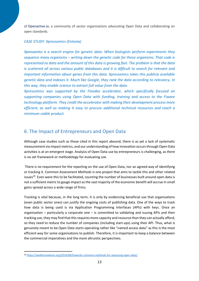of [Openactive.io,](https://www.openactive.io/) a community of sector organisations advocating Open Data and collaborating on open standards.

#### *CASE STUDY: Xpressomics (Estonia)*

*Xpressomics is a search engine for genetic data. When biologists perform experiments they sequence many organisms ʹ writing down the genetic code for those organisms. That code is represented as data and the amount of this data is growing fast. The problem is that the data is scattered all across various public databases and it is difficult to search for relevant and important information about genes from this data. Xpressomics takes this publicly available genetic data and indexes it. Much like Google, they rank the data according to relevancy. In this way, they enable science to extract full value from the data.*

*Xpressomics was supported by the Finodex accelerator, which specifically focused on supporting companies using Open Data with funding, training and access to the Fiware technology platform. They credit the accelerator with making their development process more efficient, as well as making it easy to procure additional technical resources and reach a minimum viable product.*

## <span id="page-12-0"></span>6. The Impact of Entrepreneurs and Open Data

Although case studies such as those cited in this report abound, there is as yet a lack of systematic measurement via impact metrics, and our understanding of how innovation occurs through Open Data activities is at an emergent stage. Analysis of Open Data use by entrepreneurs is challenging, as there is no set framework or methodology for evaluating use.

There is no requirement for the reporting on the use of Open Data, nor an agreed way of identifying or tracking it. Common Assessment Methods is one project that aims to tackle this and other related issues<sup>29</sup>. Even were this to be facilitated, counting the number of businesses built around open data is not a sufficient metric to gauge impact as the vast majority of the economic benefit will accrue in small gains spread across a wide range of firms.

Tracking is vital because, in the long term, it is only by evidencing beneficial use that organisations (even public sector ones) can justify the ongoing costs of publishing data. One of the ways to track how data is being used is via Application Programming Interfaces (APIs) with keys. Once an organisation  $-$  particularly a corporate one  $-$  is committed to validating and issuing APIs and then tracking use, they may find that this requires more capacity and resource than they can actually afford, so they need to reduce the number of companies (including start-ups) using their API. Thus, what is genuinely meant to be Open Data starts operating rather like "named access data" as this is the most efficient way for some organisations to publish. Therefore, it is important to keep a balance between the commercial imperatives and the more altruistic perspectives.

 <sup>29</sup> <https://webfoundation.org/2014/06/towards-common-methods-for-assessing-open-data/>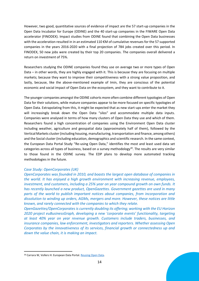However, two good, quantitative sources of evidence of impact are the 57 start-up companies in the Open Data Incubator for Europe (ODINE) and the 40 start-up companies in the FIWARE Open Data accelerator (FINODEX). Impact studies from ODINE found that combining the Open Data businesses with the acceleration resulted in in an estimated 110 €M of cumulative revenues for the 57 supported companies in the years 2016-2020 with a final projection of 784 jobs created over this period. In FINODEX, 50 new jobs were created by their top 20 companies. The companies overall delivered a return on investment of 75%.

Researchers studying the ODINE companies found they use on average two or more types of Open Data – in other words, they are highly engaged with it. This is because they are focusing on multiple markets; because they want to improve their competitiveness with a strong value proposition, and lastly, because, like the above-mentioned example of Imin, they are conscious of the potential economic and social impact of Open Data on the ecosystem, and they want to contribute to it.

The younger companies amongst the ODINE cohorts more often combine different typologies of Open Data for their solutions, while mature companies appear to be more focused on specific typologies of Open Data. Extrapolating from this, it might be expected that as new start-ups enter the market they will increasingly break down the Open Data "silos" and accommodate multiple data inputs. Companies were analysed in terms of how many clusters of Open Data they use and which of them. Researchers found a high concentration of companies using the Environment Open Data cluster including weather, agriculture and geospatial data (approximately half of them), followed by the Vertical Markets cluster (including housing, manufacturing, transportation and finance, among others) and the Social cluster (including education, demographics and scientific research. In the same context, the European Data Portal Study "Re-using Open Data," identifies the most and least used data set categories across all types of business, based on a survey methodology $30$ . The results are very similar to those found in the ODINE survey. The EDP plans to develop more automated tracking methodologies in the future.

#### *Case Study: OpenCorporates (UK)*

*OpenCorporates was founded in 2010, and boasts the largest open database of companies in the world. It has enjoyed a high growth environment with increasing revenue, employees, investment, and customers, including a 25% year on year compound growth on own funds. It has recently launched a new product, OpenGazettes. Government gazettes are used in many parts of the world to publish important notices about companies, from incorporation and dissolution to winding up orders, AGMs, mergers and more. However, these notices are little known, and rarely connected with the companies to which they relate.* 

*OpenGazettes/OpenCorporates is currently doubling its offering; working with the EU Horizon 2020 project euBusinessGraph, developing a new 'corporate events' functionality, targeting at least 40% year on year revenue growth. Customers include traders, businesses, and insurance companies, law enforcement, investigators and reporters. Whether assessing Open Corporates by the innovativeness of its services, financial growth or connectedness up and down the value chain, it is making an impact.* 

<sup>30</sup> Carrara W, Vollers H: European Data Portal. Reusing Open Data.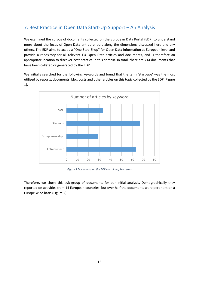## <span id="page-14-0"></span>7. Best Practice in Open Data Start-Up Support – An Analysis

We examined the corpus of documents collected on the European Data Portal (EDP) to understand more about the focus of Open Data entrepreneurs along the dimensions discussed here and any others. The EDP aims to act as a "One-Stop-Shop" for Open Data information at European level and provide a repository for all relevant EU Open Data articles and documents, and is therefore an appropriate location to discover best practice in this domain. In total, there are 714 documents that have been collated or generated by the EDP.

We initially searched for the following keywords and found that the term 'start-ups' was the most utilised by reports, documents, blog posts and other articles on this topic collected by the EDP [\(Figure](#page-14-1)  [1\)](#page-14-1).



*Figure 1 Documents on the EDP containing key terms*

<span id="page-14-1"></span>Therefore, we chose this sub-group of documents for our initial analysis. Demographically they reported on activities from 14 European countries, but over half the documents were pertinent on a Europe-wide basis [\(Figure 2\)](#page-15-0).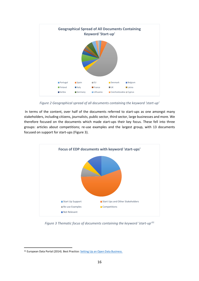

*Figure 2 Geographical spread of all documents containing the keyword 'start-up'* 

<span id="page-15-0"></span>In terms of the content, over half of the documents referred to start-ups as one amongst many stakeholders, including citizens, journalists, public sector, third sector, large businesses and more. We therefore focused on the documents which made start-ups their key focus. These fell into three groups: articles about competitions; re-use examples and the largest group, with 13 documents focused on support for start-ups [\(Figure 3\)](#page-15-1).



<span id="page-15-1"></span>*Figure 3 Thematic focus of documents containing the keyword 'start-up'<sup>31</sup>* 

<sup>31</sup> European Data Portal (2014). Best Practice[: Setting Up an Open Data Business.](https://www.europeandataportal.eu/sites/default/files/2014_use_setting_up_an_open_data_business.pdf)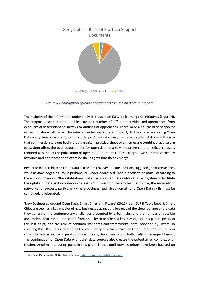

*Figure 4 Geographical spread of documents focused on start up support*

<span id="page-16-0"></span>The majority of the information under analysis is based on EU wide learning and initiatives [\(Figure 4\)](#page-16-0). The support described in the articles covers a number of different activities and approaches, from experiential descriptions to surveys to outlines of approaches. There were a couple of very specific niches but almost all the articles referred, either explicitly or implicitly, to the vital role a strong Open Data ecosystem plays in supporting start-ups. A second strong theme was sustainability and the role that commercial start-ups had in creating this. In practice, these two themes are combined, as a strong ecosystem offers the best opportunities for open data re-use, while proven and beneficial re-use is required to support the publication of open data. In the rest of this chapter we summarise the key activities and approaches and examine the insights that these emerge.

Best Practice: Establish an Open Data Ecosystem (2016)<sup>32</sup> is a late addition, suggesting that this aspect, while acknowledged as key, is perhaps still under-addressed. "More needs to be done" according to the authors, towards, "the establishment of an active Open Data network, an ecosystem to facilitate the uptake of data and information for reuse." Throughout the articles that follow, the necessity of networks for success, particularly where business, technical, domain and Open Data skills must be combined, is reiterated.

͚New Businesses Around Open Data, Smart Cities and Fiware͛ (2015) is an EUPSI Topic Report. Smart Cities are seen as a key enabler of new businesses using data because of the sheer volume of the data they generate, the contemporary challenges presented by urban living and the number of possible applications that can be replicated from one city to another. A key message of this paper speaks to this last point, and the role of common standards and frameworks (here, provided by Fiware) in enabling this. This paper also notes the complexity of value chains for Open Data entrepreneurs in smart city arenas, involving public administrations, the ICT sector and both profit and non-profit users. The combination of Open Data with other data sources also creates the potential for complexity or friction. Another interesting point in this paper is that until now, solutions have been focused on

<sup>32</sup> European Data Portal (2016). Best Practice: **Establish an Open Data Ecosystem.**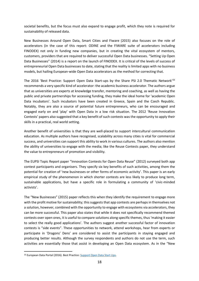societal benefits, but the focus must also expand to engage profit, which they note is required for sustainability of released data.

New Businesses Around Open Data, Smart Cities and Fiware (2015) also focuses on the role of accelerators (in the case of this report: ODINE and the FIWARE suite of accelerators including FINODEX) not only in funding new companies, but in creating the vital ecosystem of mentors, customers, providers that are required to deliver successful Open Data businesses. "Setting Up Open Data Businesses" (2014) is a report on the launch of FINODEX. It is critical of the levels of success of entrepreneurial Open Data businesses to date, stating that the reality is limited apps with no business models, but hailing European-wide Open Data accelerators as the method for correcting that.

The 2016 'Best Practice: Support Open Data Start-ups by the Share PSI 2.0 Thematic Network' $^{33}$ recommends a very specific kind of accelerator: the academic business accelerator. The authors argue that as universities are experts at knowledge transfer, mentoring and coaching, as well as having the public and private partnerships for accessing funding, they make the ideal home for 'academic Open Data incubators'. Such incubators have been created in Greece, Spain and the Czech Republic. Notably, they are also a source of potential future entrepreneurs, who can be encouraged and engaged early on and 'play' with Open Data in a low risk situation. The 2012 'Reuse Innovation Contests' papers also suggested that a key benefit of such contests was the opportunity to apply their skills in a practical, real world setting.

Another benefit of universities is that they are well-placed to support intercultural communication education. As multiple authors have recognised, scalability across many cities is vital for commercial success, and universities can support this ability to work in various cultures. The authors also mention the ability of universities to engage with the media; like the Reuse Contests paper, they understand the value to entrepreneurs of promotion and visibility.

The EUPSI Topic Report paper "Innovation Contests for Open Data Reuse" (2012) surveyed both app contest participants and organisers. They specify six key benefits of such activities, among them the potential for creation of 'new businesses or other forms of economic activity'. This paper is an early empirical study of the phenomenon in which shorter contests are less likely to produce long term, sustainable applications, but have a specific role in formulating a community of 'civic-minded activists'.

The "New Businesses" (2015) paper reflects this when they identify the requirement to engage more with the profit motive for sustainability; this suggests that app contests are perhaps in themselves not a solution, however, combined with the opportunity to engage with ecosystems via accelerators, they can be more successful. This paper also states that while it does not specifically recommend themed contests over open ones, it is useful to compare solutions along specific themes, thus 'making it easier to select the really good applications'. The authors suggest another successful factor of innovation contests is "side events". These opportunities to network, attend workshops, hear from experts or participate in 'Dragons' Dens' are considered to assist the participants in staying engaged and producing better results. Although the survey respondents and authors do not use the term, such activities are essentially those that assist in developing an Open Data ecosystem. As in the "New

<sup>33</sup> European Data Portal (2016). Best Practice: Support Open Data Start Ups.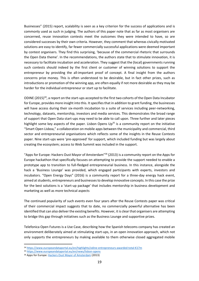Businesses" (2015) report, scalability is seen as a key criterion for the success of applications and is commonly used as such in judging. The authors of this paper note that as far as most organisers are concerned, reuse innovation contests meet the outcomes they were intended to have, so are considered successes by their own criteria. However, they comment that whereas civically motivated solutions are easy to identify, far fewer commercially successful applications were deemed important by contest organisers. They find this surprising, 'because of the commercial rhetoric that surrounds the Open Data theme'. In the recommendations, the authors state that to stimulate innovation, it is necessary to facilitate incubation and acceleration. They suggest that the (local) governments running such contests should indeed by the first client or customer of winning solutions to support the entrepreneur by providing the all-important proof of concept. A final insight from the authors concerns prize money. This is often understood to be desirable, but in fact other prizes, such as introductions or promotion of the winning app, are often equally if not more desirable as they may be harder for the individual entrepreneur or start up to facilitate.

ODINE  $(2015)^{34}$ , a report on the start-ups accepted to the first two cohorts of the Open Data Incubator for Europe, provides more insight into this. It specifies that in addition to grant funding, the businesses will have access during their six-month incubation to a suite of services including peer-networking, technology, datasets, mentorship, investors and media services. This demonstrates the broad range of support that Open Data start-ups may need to be able to call upon. Three further and later pieces highlight some key aspects of the paper. Lisbon Opens  $Up^{35}$  is a community report on the initiative "Smart Open Lisboa," a collaboration on mobile apps between the municipality and commercial, third sector and entrepreneurial organisations which reflects some of the insights in the Reuse Contests paper. Nine start-ups were 'pre-approved' for support, which included funding but was largely about creating the ecosystem; access to Web Summit was included in the support.

"Apps for Europe: Hackers Oust Mayor of Amsterdam" $36$  (2013) is a community report on the Apps for Europe hackathon that specifically focuses on attempting to provide the support needed to enable a prototype app to transition to full-fledged entrepreneurial business. In this instance, alongside the hack a 'Business Lounge' was provided, which engaged participants with experts, investors and incubators. "Open Energy Days" (2016) is a community report for a three-day energy hack event, aimed at students, entrepreneurs and businesses to develop innovative concepts. In this case the prize for the best solutions is a 'start-up package' that includes mentorship in business development and marketing as well as more technical aspects

The continued popularity of such events even four years after the Reuse Contests paper was critical of their commercial impact suggests that to date, no commercially powerful alternative has been identified that can also deliver the existing benefits. However, it is clear that organisers are attempting to bridge this gap through initiatives such as the Business Lounge and supportive prizes.

Telefonica Open Futures is a Use Case, describing how the Spanish telecoms company has created an environment deliberately aimed at stimulating start-ups, in an open innovation approach, which not only supports the entrepreneurs by making available to them otherwise closed aggregated mobile

<sup>34</sup> [https://www.europeandataportal.eu/en/highlights/odine-entrepreneurs-awarded-total-](https://www.europeandataportal.eu/en/highlights/odine-entrepreneurs-awarded-total-%C3%A2%C2%82%C2%AC17m)€17m

<sup>35</sup> <https://www.europeandataportal.eu/en/news/lisbon-opens>

<sup>36</sup> Apps for Europe[: Hackers Oust Mayor of Amsterdam](https://www.europeandataportal.eu/sites/default/files/2013_the_netherlands_apps_for_europe_hackers_oust_mayor_of_amsterdam.pdf) (2013)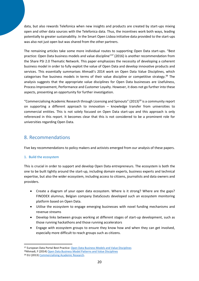data, but also rewards Telefonica when new insights and products are created by start-ups mixing open and other data sources with the Telefonica data. Thus, the incentives work both ways, leading potentially to greater sustainability. In the Smart Open Lisboa initiative data provided to the start-ups was also not just open but was shared from the other partners.

The remaining articles take some more individual routes to supporting Open Data start-ups. "Best practice: Open Data business models and value discipline<sup>n37</sup> (2016) is another recommendation from the Share PSI 2.0 Thematic Network. This paper emphasizes the necessity of developing a coherent business model in order to fully exploit the value of Open Data and develop innovative products and services. This essentially summarises Ahmadi's 2014 work on Open Data Value Disciplines, which categorises five business models in terms of their value discipline or competitive strategy.<sup>38</sup> The analysis suggests that the appropriate value disciplines for Open Data businesses are Usefulness, Process Improvement, Performance and Customer Loyalty. However, it does not go further into these aspects, presenting an opportunity for further investigation.

"Commercialising Academic Research through Licensing and Spinouts" (2013)<sup>39</sup> is a community report on supporting a different approach to innovation  $-$  knowledge transfer from universities to commercial entities. This is not solely focused on Open Data start-ups and this approach is only referenced in this report. It becomes clear that this is not considered to be a prominent role for universities regarding Open Data.

## <span id="page-19-0"></span>8. Recommendations

Five key recommendations to policy makers and activists emerged from our analysis of these papers.

## 1. Build the ecosystem

This is crucial in order to support and develop Open Data entrepreneurs. The ecosystem is both the one to be built tightly around the start-up, including domain experts, business experts and technical expertise, but also the wider ecosystem, including access to citizens, journalists and data owners and providers.

- Create a diagram of your open data ecosystem. Where is it strong? Where are the gaps? FINODEX alumnus, Belgian company DataScouts developed such an ecosystem monitoring platform based on Open Data.
- Utilise the ecosystem to engage emerging businesses with novel funding mechanisms and revenue streams
- Develop links between groups working at different stages of start-up development, such as those running hackathons and those running accelerators
- Engage with ecosystem groups to ensure they know how and when they can get involved, especially more difficult to reach groups such as citizens.

<sup>37</sup> European Data Portal Best Practice[: Open Data Business Models and Value Disciplines](Best%20Practice:%20Open%20Data%20Business%20Models%20and%20Value%20Disciplines%20(2016%20Available%20at:%20https:/www.europeandataportal.eu/sites/default/files/open-data-business-models-value-disciplines.pdf)

<sup>38</sup>Ahmadi, F (2014[\) Open Data Business Model Patterns and Value Disciplines](https://www.w3.org/2013/share-psi/wiki/images/d/dd/Ahmadi.pdf)

<sup>39</sup> EU (2013) Commercialising Academic Research.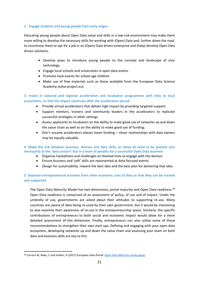#### 2. Engage students and young people from early stages

Educating young people about Open Data value and skills in a low-risk environment may make them more willing to develop the necessary skills for working with (Open) Data and, further down the road, to incentivise them to opt for a job in an (Open) Data driven enterprise and (help) develop Open Data driven solutions.

- Develop ways to introduce young people to the concept and landscape of civic technology
- Engage local schools and universities in open data events
- $\bullet$  Promote hack events for school age children
- Make use of free materials such as those available from the European Data Science Academy (edsa-project.eu).

3. Invest in national and regional acceleration and incubation programmes with links to local ecosystems, so that the impact continues after the acceleration period

- Provide virtual accelerators that deliver high impact by providing targeted support;
- Support mentors, trainers and community leaders in the accelerators to replicate successful strategies in other settings
- Assess applicants to incubators on the ability to make good use of networks up and down the value chain as well as on the ability to make good use of funding;
- Don't assume accelerators always mean funding  $-$  closer relationships with data owners may be equally valuable.

4. Make the link between business, domain and data skills, as these all need to be present (not necessarily as the 'data unicorn' but in a team of people) for a successful Open Data business

- Organise hackathons and challenges on themed lines to engage with the domain
- Ensure business and 'soft' skills are represented at data-focused events
- **•** Design for sustainability: reward the best idea and the best plan for delivering that idea.

## 5. Separate entrepreneurial activities from other economic uses of data so that they can be tracked and supported

The Open Data Maturity Model has two dimensions, portal maturity and Open Data readiness.<sup>40</sup> Open Data readiness is comprised of an assessment of policy, of use and of impact. Under the umbrella of use, governments are asked about their attitudes to supporting re-use. Many countries are aware of data being re-used by their own government, but it would be interesting to also examine their awareness of re-use in the entrepreneurship space. Similarly, the specific contributions of entrepreneurs to both social and economic impact would allow for a more detailed assessment of this dimension. Finally, entrepreneurs can also utilise some of these recommendations to strengthen their own start-ups. Defining and engaging with your open data ecosystem, developing networks up and down the value chain and assessing your team on both data and business skills are key to this.

<sup>40</sup> Carrara W, Radu, C and Vollers, H (2017) European Data Portal: [Open Data Maturity Landscaping.](https://www.europeandataportal.eu/sites/default/files/edp_landscaping_insight_report_n3_2017.pdf)